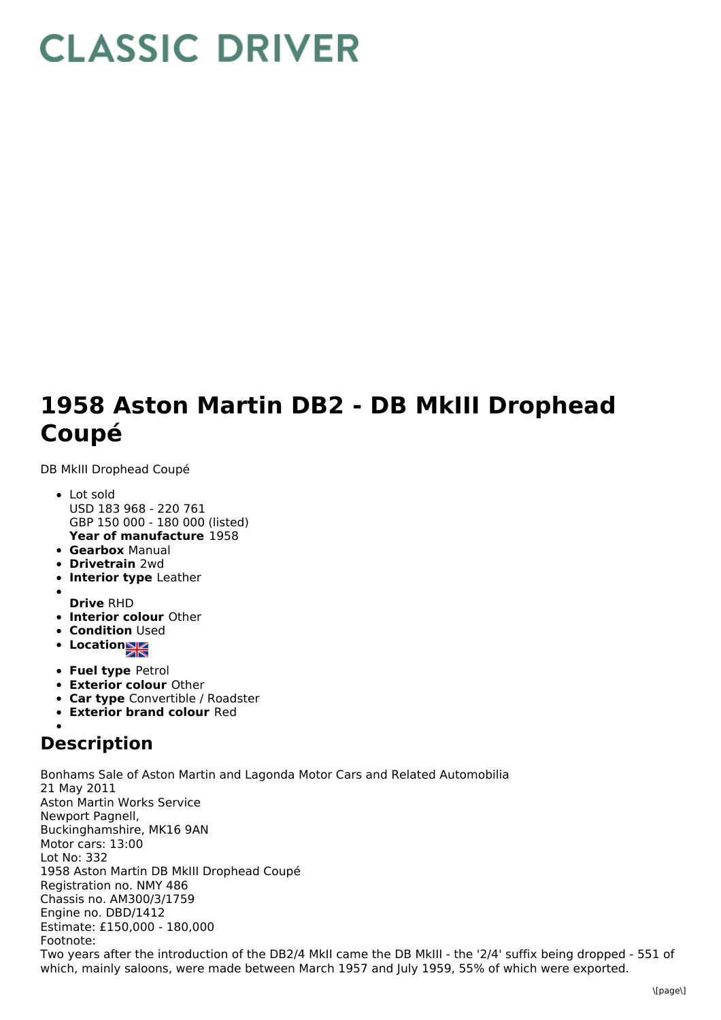## **CLASSIC DRIVER**

## **1958 Aston Martin DB2 - DB MkIII Drophead Coupé**

DB MkIII Drophead Coupé

- **Year of manufacture** 1958 Lot sold USD 183 968 - 220 761 GBP 150 000 - 180 000 (listed)
- **Gearbox** Manual
- **Drivetrain** 2wd
- **Interior type** Leather
- **Drive** RHD
- **Interior colour** Other
- **Condition Used**
- **•** Location
- **Fuel type** Petrol
- **Exterior colour** Other
- **Car type** Convertible / Roadster
- **Exterior brand colour** Red

## **Description**

Bonhams Sale of Aston Martin and Lagonda Motor Cars and Related Automobilia 21 May 2011 Aston Martin Works Service Newport Pagnell, Buckinghamshire, MK16 9AN Motor cars: 13:00 Lot No: 332 1958 Aston Martin DB MkIII Drophead Coupé Registration no. NMY 486 Chassis no. AM300/3/1759 Engine no. DBD/1412 Estimate: £150,000 - 180,000 Footnote: Two years after the introduction of the DB2/4 MkII came the DB MkIII - the '2/4' suffix being dropped - 551 of which, mainly saloons, were made between March 1957 and July 1959, 55% of which were exported.